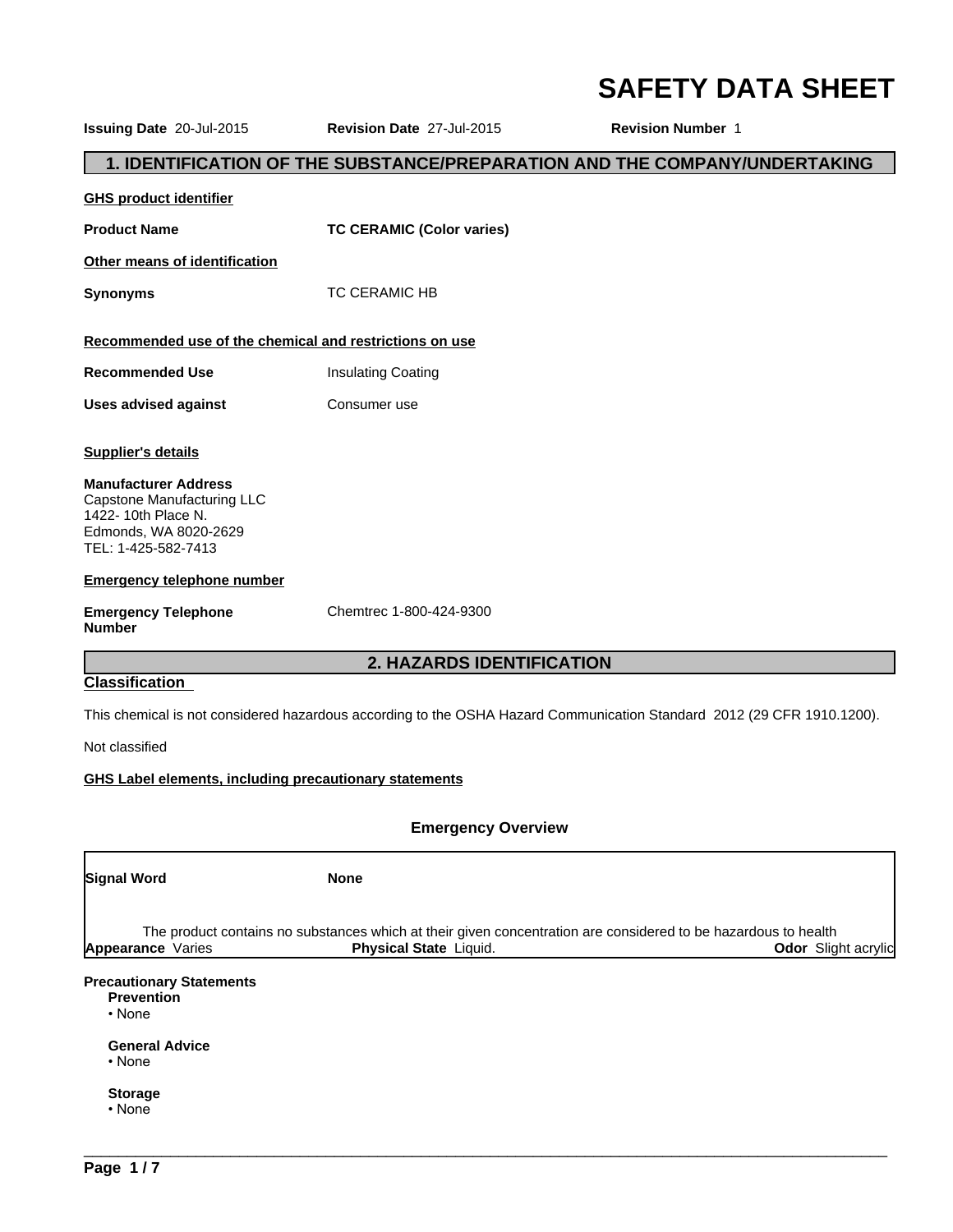## **SAFETY DATA SHEET**

**Issuing Date** 20-Jul-2015 **Revision Date** 27-Jul-2015 **Revision Number** 1

#### **1. IDENTIFICATION OF THE SUBSTANCE/PREPARATION AND THE COMPANY/UNDERTAKING**

**GHS product identifier**

**Product Name TC CERAMIC (Color varies)**

**Other means of identification**

**Synonyms** TC CERAMIC HB

#### **Recommended use of the chemical and restrictions on use**

- **Recommended Use** Insulating Coating
- **Uses advised against Consumer use**

#### **Supplier's details**

**Manufacturer Address** Capstone Manufacturing LLC 1422- 10th Place N. Edmonds, WA 8020-2629 TEL: 1-425-582-7413

#### **Emergency telephone number**

**Emergency Telephone Number**

Chemtrec 1-800-424-9300

#### **2. HAZARDS IDENTIFICATION**

#### **Classification**

This chemical is not considered hazardous according to the OSHA Hazard Communication Standard 2012 (29 CFR 1910.1200).

Not classified

**GHS Label elements, including precautionary statements**

#### **Emergency Overview**

| Signal Word                                                          | <b>None</b>                                                                                                                              |                            |
|----------------------------------------------------------------------|------------------------------------------------------------------------------------------------------------------------------------------|----------------------------|
| <b>Appearance</b> Varies                                             | The product contains no substances which at their given concentration are considered to be hazardous to health<br>Physical State Liquid. | <b>Odor</b> Slight acrylic |
| <b>Precautionary Statements</b><br><b>Prevention</b><br>$\cdot$ None |                                                                                                                                          |                            |

 $\overline{\phantom{a}}$  ,  $\overline{\phantom{a}}$  ,  $\overline{\phantom{a}}$  ,  $\overline{\phantom{a}}$  ,  $\overline{\phantom{a}}$  ,  $\overline{\phantom{a}}$  ,  $\overline{\phantom{a}}$  ,  $\overline{\phantom{a}}$  ,  $\overline{\phantom{a}}$  ,  $\overline{\phantom{a}}$  ,  $\overline{\phantom{a}}$  ,  $\overline{\phantom{a}}$  ,  $\overline{\phantom{a}}$  ,  $\overline{\phantom{a}}$  ,  $\overline{\phantom{a}}$  ,  $\overline{\phantom{a}}$ 

#### **General Advice**

•None

**Storage**

•None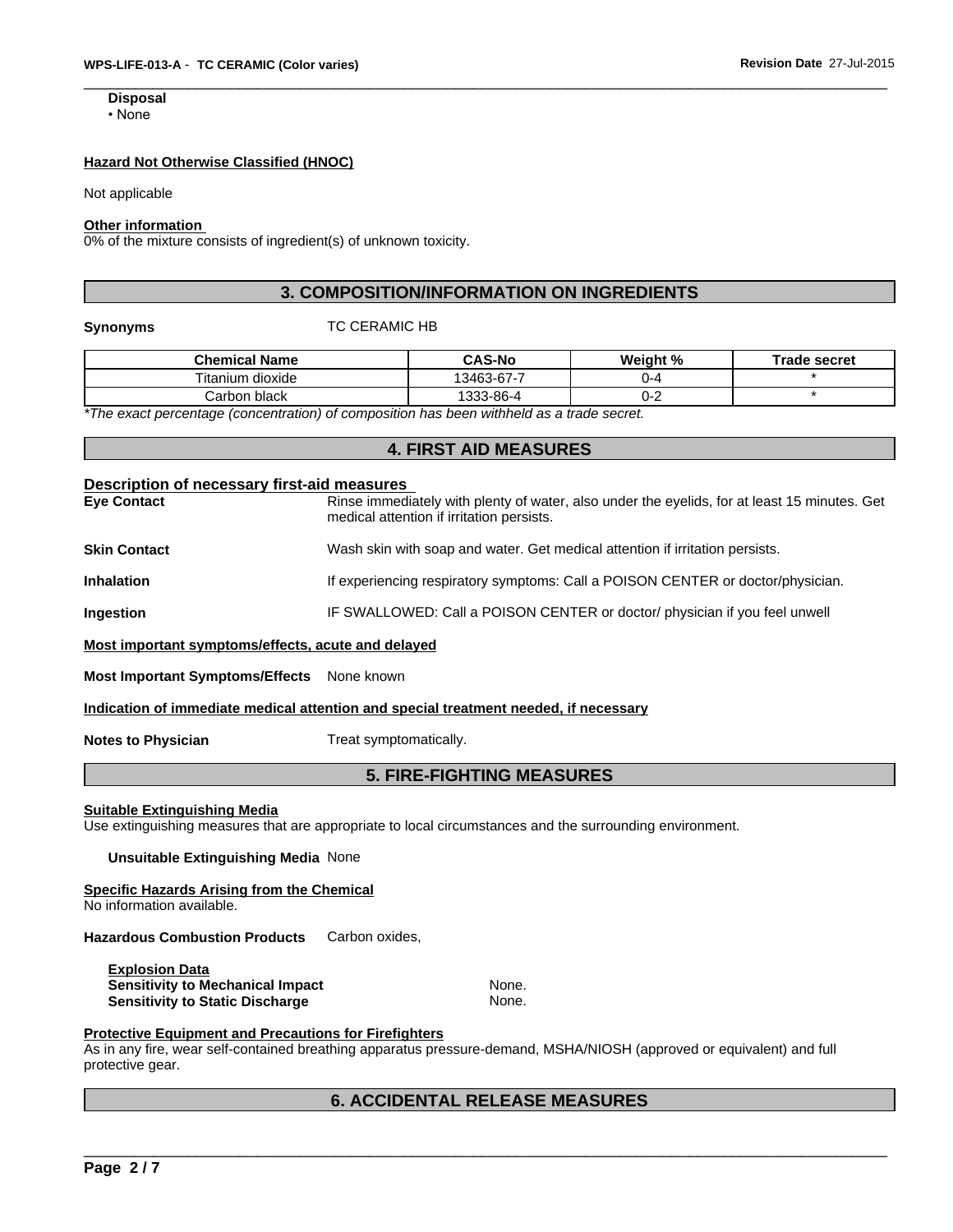#### **Hazard Not Otherwise Classified (HNOC)**

Not applicable

#### **Other information**

0% of the mixture consists of ingredient(s) of unknown toxicity.

#### **3. COMPOSITION/INFORMATION ON INGREDIENTS**

#### **Synonyms** TC CERAMIC HB

| <b>Chemical Name</b>                                                                      | <b>CAS-No</b> | Weight %  | <b>Trade secret</b> |  |  |
|-------------------------------------------------------------------------------------------|---------------|-----------|---------------------|--|--|
| Titanium dioxide                                                                          | 13463-67-7    | <u>ь4</u> |                     |  |  |
| Carbon black                                                                              | 1333-86-4     | 1- .      |                     |  |  |
| *The exect perceptions (conceptration) of composition has been withhold as a trade essent |               |           |                     |  |  |

*\*The exact percentage (concentration) of composition has been withheld as a trade secret.*

#### **4. FIRST AID MEASURES**

## **Description of necessary first-aid measures**

**Eye Contact** Rinse immediately with plenty of water, also under the eyelids, for at least 15 minutes. Get medical attention if irritation persists. **Skin Contact** Wash skin with soap and water. Get medical attention if irritation persists.

**Inhalation If experiencing respiratory symptoms: Call a POISON CENTER or doctor/physician.** 

Ingestion **IF SWALLOWED: Call a POISON CENTER** or doctor/ physician if you feel unwell

#### **Most important symptoms/effects, acute and delayed**

**Most Important Symptoms/Effects** None known

#### **Indication of immediate medical attention and special treatment needed, if necessary**

**Notes to Physician** Treat symptomatically.

#### **5. FIRE-FIGHTING MEASURES**

#### **Suitable Extinguishing Media**

Use extinguishing measures that are appropriate to local circumstances and the surrounding environment.

#### **Unsuitable Extinguishing Media** None

#### **Specific Hazards Arising from the Chemical**

No information available.

**Hazardous Combustion Products** Carbon oxides,

**Explosion Data Sensitivity to Mechanical Impact None.** None. **Sensitivity to Static Discharge Mone.** None.

#### **Protective Equipment and Precautions for Firefighters**

As in any fire, wear self-contained breathing apparatus pressure-demand, MSHA/NIOSH (approved or equivalent) and full protective gear.

# \_\_\_\_\_\_\_\_\_\_\_\_\_\_\_\_\_\_\_\_\_\_\_\_\_\_\_\_\_\_\_\_\_\_\_\_\_\_\_\_\_\_\_\_\_\_\_\_\_\_\_\_\_\_\_\_\_\_\_\_\_\_\_\_\_\_\_\_\_\_\_\_\_\_\_\_\_\_\_\_\_\_\_\_\_\_\_\_\_\_\_\_\_ **6. ACCIDENTAL RELEASE MEASURES**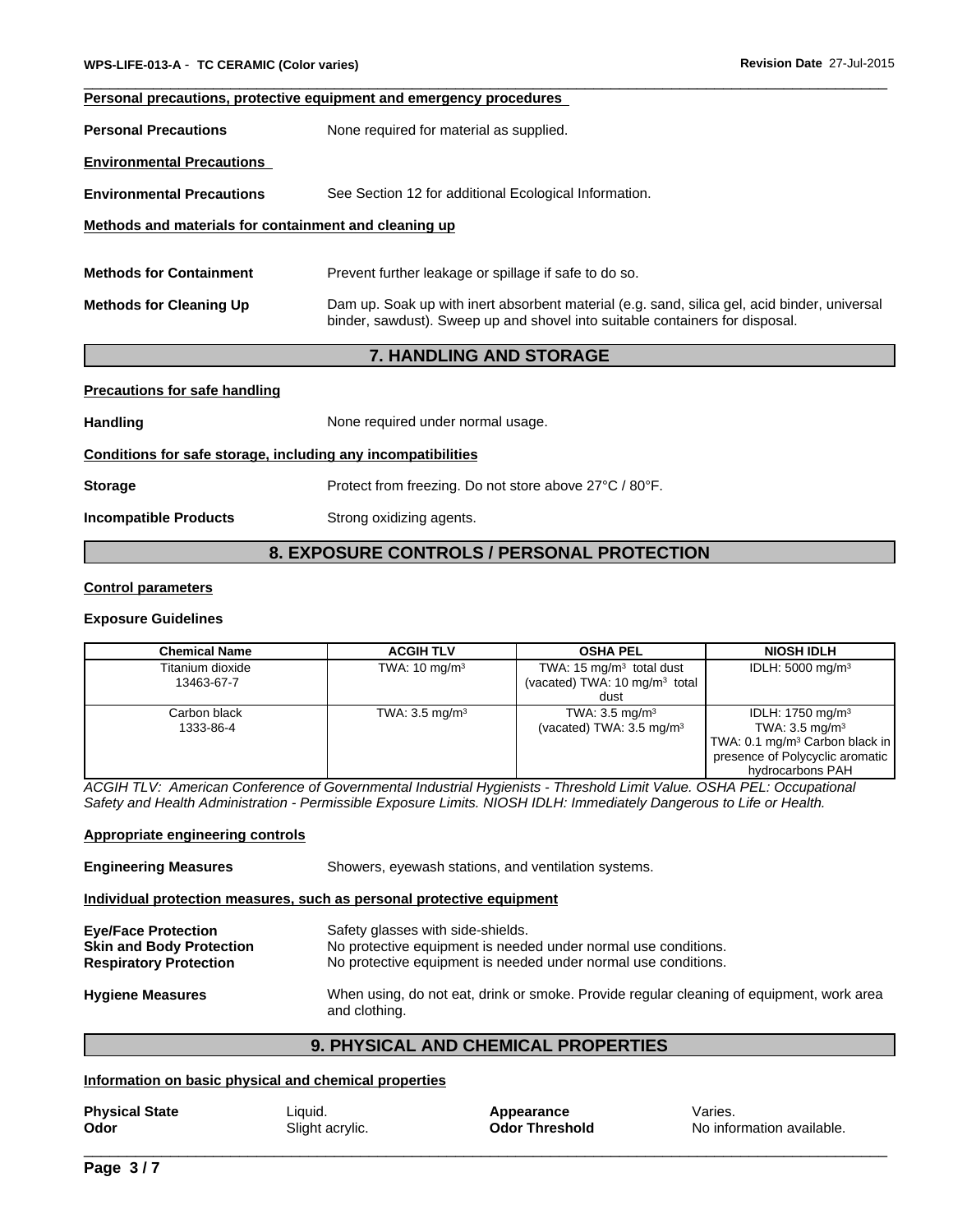#### **Personal precautions, protective equipment and emergency procedures**

**Personal Precautions** None required for material as supplied.

**Environmental Precautions** 

**Environmental Precautions** See Section 12 for additional Ecological Information.

#### **Methods and materials for containment and cleaning up**

**Methods for Containment** Prevent further leakage or spillage if safe to do so. **Methods for Cleaning Up** Dam up. Soak up with inert absorbent material (e.g. sand, silica gel, acid binder, universal binder, sawdust). Sweep up and shovel into suitable containers for disposal.

#### **7. HANDLING AND STORAGE**

#### **Precautions for safe handling**

**Handling None required under normal usage.** 

#### **Conditions for safe storage, including any incompatibilities**

**Storage Protect from freezing. Do not store above 27°C / 80°F.** 

**Incompatible Products** Strong oxidizing agents.

#### **8. EXPOSURE CONTROLS / PERSONAL PROTECTION**

#### **Control parameters**

#### **Exposure Guidelines**

| <b>Chemical Name</b>           | <b>ACGIH TLV</b>          | <b>OSHA PEL</b>                                                                 | <b>NIOSH IDLH</b>                                                                                                                                                      |
|--------------------------------|---------------------------|---------------------------------------------------------------------------------|------------------------------------------------------------------------------------------------------------------------------------------------------------------------|
| Titanium dioxide<br>13463-67-7 | TWA: $10 \text{ mg/m}^3$  | TWA: 15 $mg/m3$ total dust<br>(vacated) TWA: 10 mg/m <sup>3</sup> total<br>dust | IDLH: 5000 mg/m <sup>3</sup>                                                                                                                                           |
| Carbon black<br>1333-86-4      | TWA: $3.5 \text{ mg/m}^3$ | TWA: $3.5 \text{ mg/m}^3$<br>(vacated) TWA: $3.5 \text{ mg/m}^3$                | IDLH: 1750 mg/m <sup>3</sup><br>TWA: $3.5 \text{ mg/m}^3$<br>TWA: 0.1 mg/m <sup>3</sup> Carbon black in $\vert$<br>presence of Polycyclic aromatic<br>hydrocarbons PAH |

*ACGIH TLV: American Conference of Governmental Industrial Hygienists - Threshold Limit Value. OSHA PEL: Occupational Safety and Health Administration - Permissible Exposure Limits. NIOSH IDLH: Immediately Dangerous to Life or Health.*

#### **Appropriate engineering controls**

**Engineering Measures** Showers, eyewash stations, and ventilation systems. **Individual protection measures, such as personal protective equipment Eye/Face Protection** Safety glasses with side-shields. **Skin and Body Protection** No protective equipment is needed under normal use conditions. **Respiratory Protection** No protective equipment is needed under normal use conditions. **Hygiene Measures** When using, do not eat, drink or smoke. Provide regular cleaning of equipment, work area and clothing.

#### **9. PHYSICAL AND CHEMICAL PROPERTIES**

#### **Information on basic physical and chemical properties**

| <b>Physical State</b> | Liquid.         | Appearance            | Varies.                   |
|-----------------------|-----------------|-----------------------|---------------------------|
| Odor                  | Slight acrylic. | <b>Odor Threshold</b> | No information available. |
|                       |                 |                       |                           |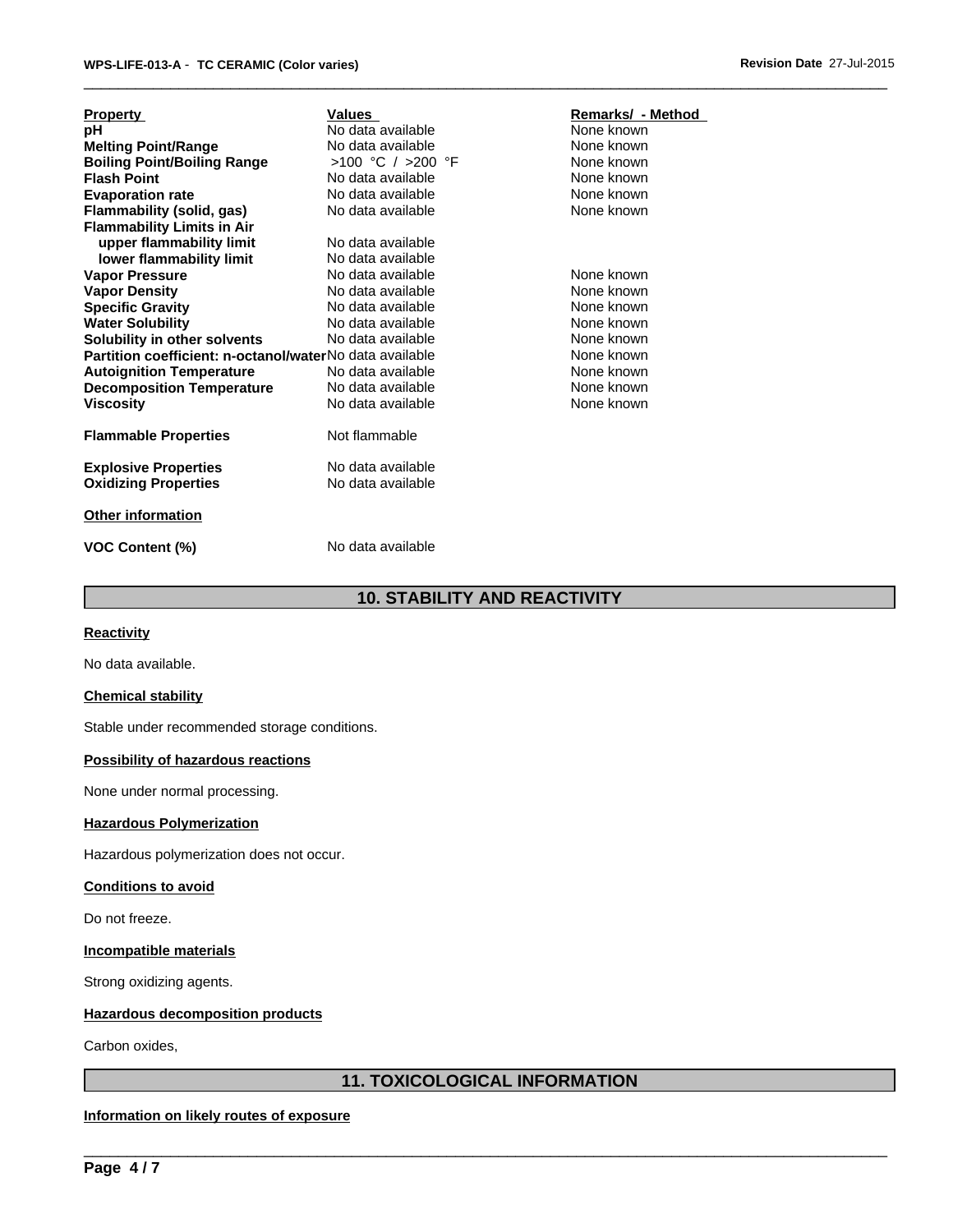| Values<br><b>Property</b>                                             | Remarks/ - Method |
|-----------------------------------------------------------------------|-------------------|
| None known<br>No data available<br>рH                                 |                   |
| <b>Melting Point/Range</b><br>None known<br>No data available         |                   |
| >100 °C / >200 °F<br><b>Boiling Point/Boiling Range</b><br>None known |                   |
| None known<br><b>Flash Point</b><br>No data available                 |                   |
| <b>Evaporation rate</b><br>None known<br>No data available            |                   |
| None known<br>Flammability (solid, gas)<br>No data available          |                   |
| <b>Flammability Limits in Air</b>                                     |                   |
| upper flammability limit<br>No data available                         |                   |
| lower flammability limit<br>No data available                         |                   |
| <b>Vapor Pressure</b><br>None known<br>No data available              |                   |
| None known<br><b>Vapor Density</b><br>No data available               |                   |
| <b>Specific Gravity</b><br>No data available<br>None known            |                   |
| <b>Water Solubility</b><br>None known<br>No data available            |                   |
| Solubility in other solvents<br>No data available<br>None known       |                   |
| Partition coefficient: n-octanol/waterNo data available<br>None known |                   |
| None known<br><b>Autoignition Temperature</b><br>No data available    |                   |
| <b>Decomposition Temperature</b><br>None known<br>No data available   |                   |
| None known<br>No data available<br><b>Viscosity</b>                   |                   |
|                                                                       |                   |
| Not flammable<br><b>Flammable Properties</b>                          |                   |
|                                                                       |                   |
| No data available<br><b>Explosive Properties</b>                      |                   |
| No data available<br><b>Oxidizing Properties</b>                      |                   |
|                                                                       |                   |
| <b>Other information</b>                                              |                   |

**VOC Content (%)** No data available

#### **10. STABILITY AND REACTIVITY**

#### **Reactivity**

No data available.

#### **Chemical stability**

Stable under recommended storage conditions.

#### **Possibility of hazardous reactions**

None under normal processing.

#### **Hazardous Polymerization**

Hazardous polymerization does not occur.

#### **Conditions to avoid**

Do not freeze.

#### **Incompatible materials**

Strong oxidizing agents.

#### **Hazardous decomposition products**

Carbon oxides,

#### **11. TOXICOLOGICAL INFORMATION**

 $\overline{\phantom{a}}$  ,  $\overline{\phantom{a}}$  ,  $\overline{\phantom{a}}$  ,  $\overline{\phantom{a}}$  ,  $\overline{\phantom{a}}$  ,  $\overline{\phantom{a}}$  ,  $\overline{\phantom{a}}$  ,  $\overline{\phantom{a}}$  ,  $\overline{\phantom{a}}$  ,  $\overline{\phantom{a}}$  ,  $\overline{\phantom{a}}$  ,  $\overline{\phantom{a}}$  ,  $\overline{\phantom{a}}$  ,  $\overline{\phantom{a}}$  ,  $\overline{\phantom{a}}$  ,  $\overline{\phantom{a}}$ 

#### **Information on likely routes of exposure**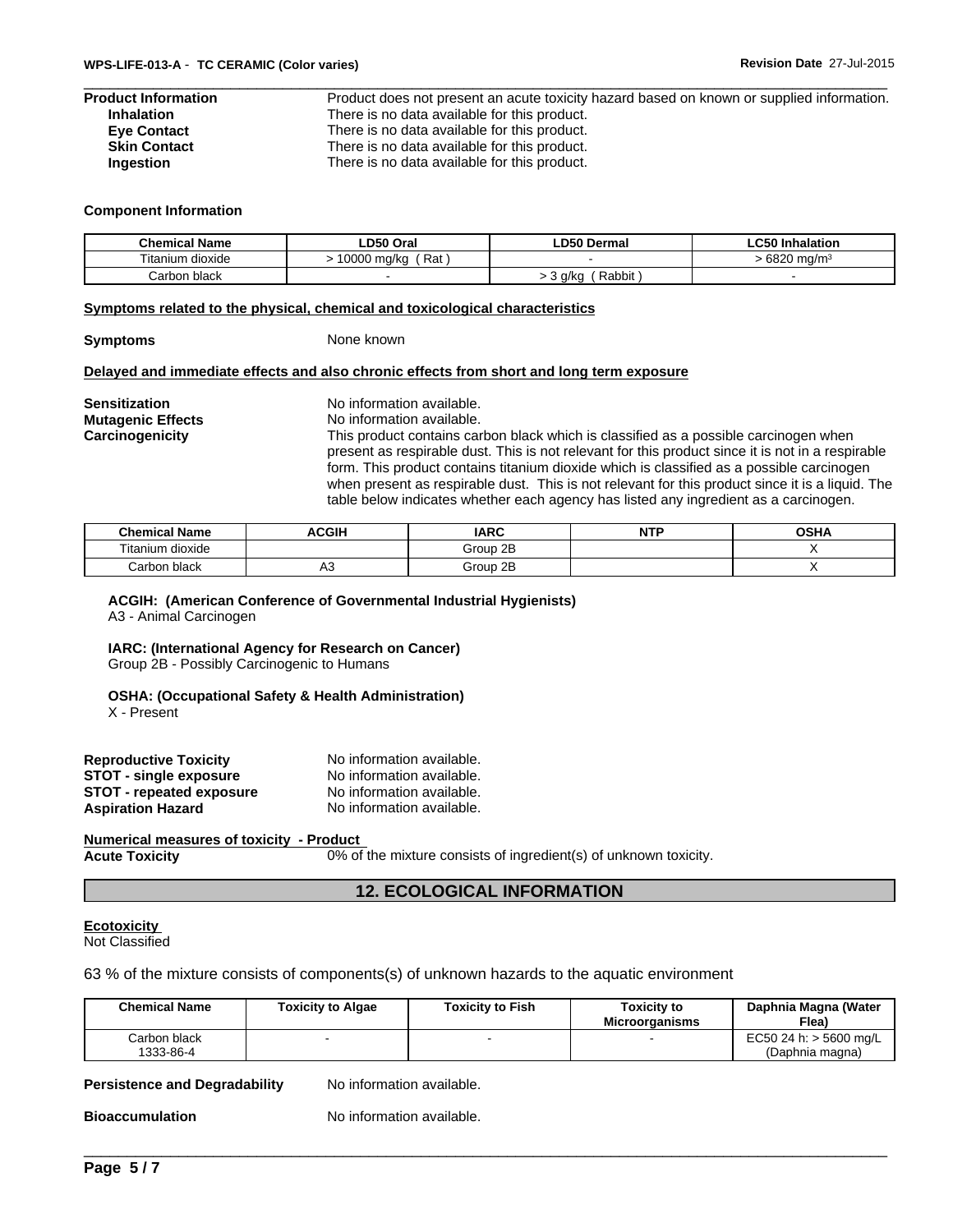| Product Information |  |
|---------------------|--|
| <b>Inhalation</b>   |  |
| <b>Eve Contact</b>  |  |
| <b>Skin Contact</b> |  |
| Ingestion           |  |

Product does not present an acute toxicity hazard based on known or supplied information. There is no data available for this product. There is no data available for this product. There is no data available for this product. There is no data available for this product.

#### **Component Information**

| <b>Chemical Name</b> | LD50 Oral            | <b>LD50 Dermal</b> | ~-<br>lnhalation (<br>-050 - |
|----------------------|----------------------|--------------------|------------------------------|
| Titanium dioxide     | Rat<br>0000<br>ma/ka |                    | cooo<br>`ma/m∘<br>o∠∪        |
| Carbon black         |                      | Rabbit<br>a/ka     |                              |

#### **Symptoms related to the physical, chemical and toxicological characteristics**

**Symptoms** None known

#### **Delayed and immediate effects and also chronic effects from short and long term exposure**

**Sensitization** No information available. **Mutagenic Effects** No information available. **Carcinogenicity** This product contains carbon black which is classified as a possible carcinogen when present as respirable dust. This is not relevant for this product since it is not in a respirable form. This product contains titanium dioxide which is classified as a possible carcinogen when present as respirable dust. This is not relevant for this product since it is a liquid. The table below indicates whether each agency has listed any ingredient as a carcinogen.

| <b>Chemical Name</b>                            | <b>ACGIF</b> | <b>IARC</b> | <b>NTI</b><br>. | <b>OSHA</b> |
|-------------------------------------------------|--------------|-------------|-----------------|-------------|
| $- \cdot \cdot$<br><sup>r</sup> itanium dioxide |              | Group 2B    |                 |             |
| Carbon black                                    | יי           | Group 2B    |                 |             |

#### **ACGIH: (American Conference of Governmental Industrial Hygienists)**

A3 - Animal Carcinogen

#### **IARC: (International Agency for Research on Cancer)**

Group 2B - Possibly Carcinogenic to Humans

#### **OSHA: (Occupational Safety & Health Administration)**

X - Present

| <b>Reproductive Toxicity</b>  | No information available. |
|-------------------------------|---------------------------|
| <b>STOT - single exposure</b> | No information available. |
| STOT - repeated exposure      | No information available. |
| Aspiration Hazard             | No information available. |

#### **Numerical measures of toxicity - Product**

**Acute Toxicity** 0% of the mixture consists of ingredient(s) of unknown toxicity.

#### **12. ECOLOGICAL INFORMATION**

#### **Ecotoxicity**  Not Classified

63 % of the mixture consists of components(s) of unknown hazards to the aquatic environment

| <b>Chemical Name</b> | <b>Toxicity to Algae</b> | <b>Toxicity to Fish</b> | <b>Toxicity to</b><br><b>Microorganisms</b> | Daphnia Magna (Water<br>Flea) |
|----------------------|--------------------------|-------------------------|---------------------------------------------|-------------------------------|
| Carbon black         |                          |                         |                                             | EC50 24 h: $>$ 5600 mg/L      |
| 1333-86-4            |                          |                         |                                             | (Daphnia magna)               |

#### **Persistence and Degradability** No information available.

**Bioaccumulation** No information available. \_\_\_\_\_\_\_\_\_\_\_\_\_\_\_\_\_\_\_\_\_\_\_\_\_\_\_\_\_\_\_\_\_\_\_\_\_\_\_\_\_\_\_\_\_\_\_\_\_\_\_\_\_\_\_\_\_\_\_\_\_\_\_\_\_\_\_\_\_\_\_\_\_\_\_\_\_\_\_\_\_\_\_\_\_\_\_\_\_\_\_\_\_ No information available.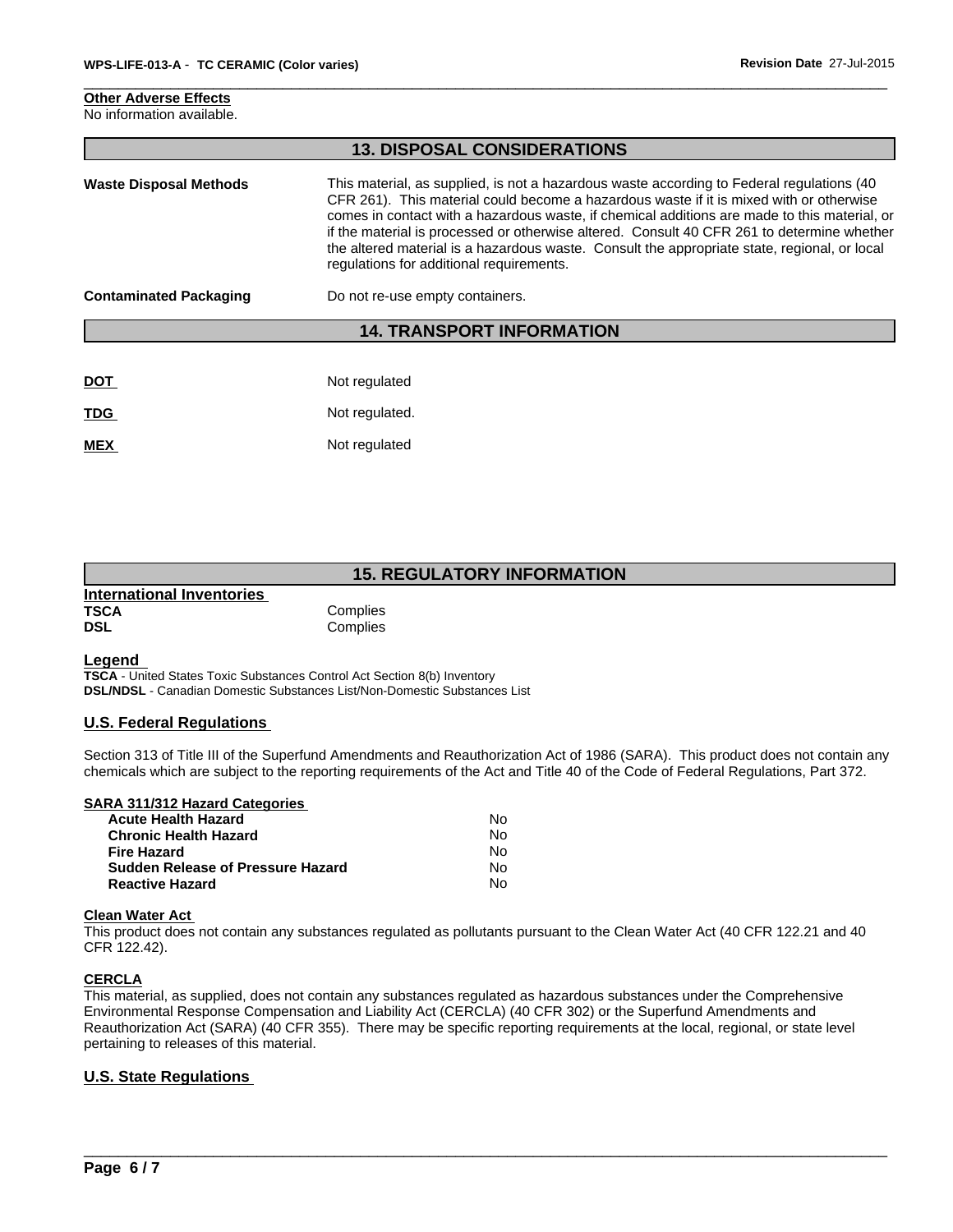#### **Other Adverse Effects** No information available.

|                               | <b>13. DISPOSAL CONSIDERATIONS</b>                                                                                                                                                                                                                                                                                                                                                                                                                                                                                             |
|-------------------------------|--------------------------------------------------------------------------------------------------------------------------------------------------------------------------------------------------------------------------------------------------------------------------------------------------------------------------------------------------------------------------------------------------------------------------------------------------------------------------------------------------------------------------------|
| <b>Waste Disposal Methods</b> | This material, as supplied, is not a hazardous waste according to Federal regulations (40<br>CFR 261). This material could become a hazardous waste if it is mixed with or otherwise<br>comes in contact with a hazardous waste, if chemical additions are made to this material, or<br>if the material is processed or otherwise altered. Consult 40 CFR 261 to determine whether<br>the altered material is a hazardous waste. Consult the appropriate state, regional, or local<br>regulations for additional requirements. |
| <b>Contaminated Packaging</b> | Do not re-use empty containers.                                                                                                                                                                                                                                                                                                                                                                                                                                                                                                |
|                               | <b>14. TRANSPORT INFORMATION</b>                                                                                                                                                                                                                                                                                                                                                                                                                                                                                               |
|                               |                                                                                                                                                                                                                                                                                                                                                                                                                                                                                                                                |
| <b>DOT</b>                    | Not regulated                                                                                                                                                                                                                                                                                                                                                                                                                                                                                                                  |
| <b>TDG</b>                    | Not regulated.                                                                                                                                                                                                                                                                                                                                                                                                                                                                                                                 |
|                               |                                                                                                                                                                                                                                                                                                                                                                                                                                                                                                                                |

#### **15. REGULATORY INFORMATION**

| International Inventories |          |  |
|---------------------------|----------|--|
| <b>TSCA</b>               | Complies |  |
| <b>DSL</b>                | Complies |  |

**MEX** Not regulated

#### **Legend**

**TSCA** - United States Toxic Substances Control Act Section 8(b) Inventory **DSL/NDSL** - Canadian Domestic Substances List/Non-Domestic Substances List

#### **U.S. Federal Regulations**

Section 313 of Title III of the Superfund Amendments and Reauthorization Act of 1986 (SARA). This product does not contain any chemicals which are subject to the reporting requirements of the Act and Title 40 of the Code of Federal Regulations, Part 372.

| SARA 311/312 Hazard Categories    |    |  |
|-----------------------------------|----|--|
| <b>Acute Health Hazard</b>        | N٥ |  |
| <b>Chronic Health Hazard</b>      | No |  |
| <b>Fire Hazard</b>                | N٥ |  |
| Sudden Release of Pressure Hazard | No |  |
| <b>Reactive Hazard</b>            | N٥ |  |

#### **Clean Water Act**

This product does not contain any substances regulated as pollutants pursuant to the Clean Water Act (40 CFR 122.21 and 40 CFR 122.42).

#### **CERCLA**

This material, as supplied, does not contain any substances regulated as hazardous substances under the Comprehensive Environmental Response Compensation and Liability Act (CERCLA) (40 CFR 302) or the Superfund Amendments and Reauthorization Act (SARA) (40 CFR 355). There may be specific reporting requirements at the local, regional, or state level pertaining to releases of this material.

# \_\_\_\_\_\_\_\_\_\_\_\_\_\_\_\_\_\_\_\_\_\_\_\_\_\_\_\_\_\_\_\_\_\_\_\_\_\_\_\_\_\_\_\_\_\_\_\_\_\_\_\_\_\_\_\_\_\_\_\_\_\_\_\_\_\_\_\_\_\_\_\_\_\_\_\_\_\_\_\_\_\_\_\_\_\_\_\_\_\_\_\_\_ **U.S. State Regulations**